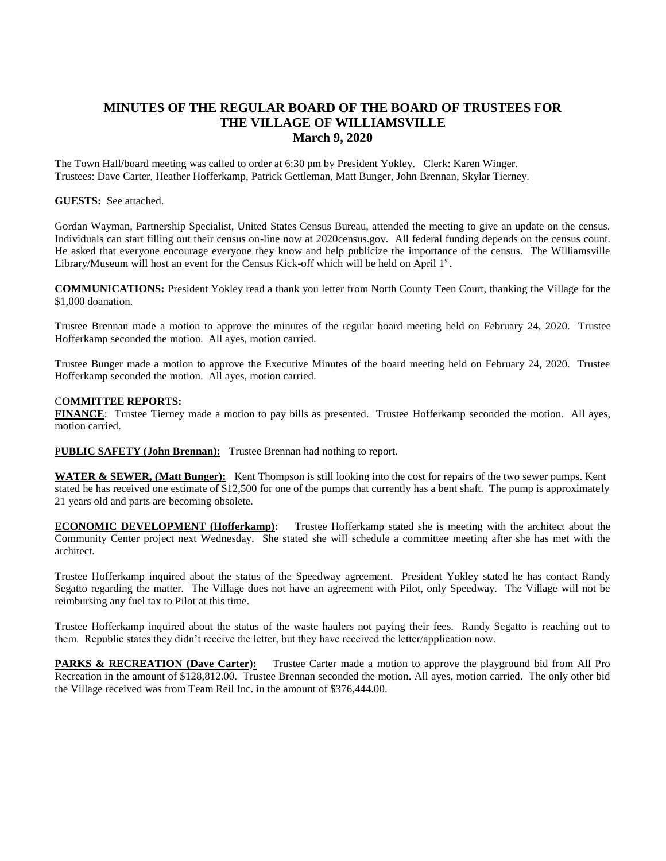## **MINUTES OF THE REGULAR BOARD OF THE BOARD OF TRUSTEES FOR THE VILLAGE OF WILLIAMSVILLE March 9, 2020**

The Town Hall/board meeting was called to order at 6:30 pm by President Yokley. Clerk: Karen Winger. Trustees: Dave Carter, Heather Hofferkamp, Patrick Gettleman, Matt Bunger, John Brennan, Skylar Tierney.

## **GUESTS:** See attached.

Gordan Wayman, Partnership Specialist, United States Census Bureau, attended the meeting to give an update on the census. Individuals can start filling out their census on-line now at 2020census.gov. All federal funding depends on the census count. He asked that everyone encourage everyone they know and help publicize the importance of the census. The Williamsville Library/Museum will host an event for the Census Kick-off which will be held on April  $1<sup>st</sup>$ .

**COMMUNICATIONS:** President Yokley read a thank you letter from North County Teen Court, thanking the Village for the \$1,000 doanation.

Trustee Brennan made a motion to approve the minutes of the regular board meeting held on February 24, 2020. Trustee Hofferkamp seconded the motion. All ayes, motion carried.

Trustee Bunger made a motion to approve the Executive Minutes of the board meeting held on February 24, 2020. Trustee Hofferkamp seconded the motion. All ayes, motion carried.

## C**OMMITTEE REPORTS:**

**FINANCE**: Trustee Tierney made a motion to pay bills as presented. Trustee Hofferkamp seconded the motion. All ayes, motion carried.

PUBLIC SAFETY (John Brennan): Trustee Brennan had nothing to report.

**WATER & SEWER, (Matt Bunger):** Kent Thompson is still looking into the cost for repairs of the two sewer pumps. Kent stated he has received one estimate of \$12,500 for one of the pumps that currently has a bent shaft. The pump is approximately 21 years old and parts are becoming obsolete.

**ECONOMIC DEVELOPMENT (Hofferkamp):** Trustee Hofferkamp stated she is meeting with the architect about the Community Center project next Wednesday. She stated she will schedule a committee meeting after she has met with the architect.

Trustee Hofferkamp inquired about the status of the Speedway agreement. President Yokley stated he has contact Randy Segatto regarding the matter. The Village does not have an agreement with Pilot, only Speedway. The Village will not be reimbursing any fuel tax to Pilot at this time.

Trustee Hofferkamp inquired about the status of the waste haulers not paying their fees. Randy Segatto is reaching out to them. Republic states they didn't receive the letter, but they have received the letter/application now.

**PARKS & RECREATION (Dave Carter):** Trustee Carter made a motion to approve the playground bid from All Pro Recreation in the amount of \$128,812.00. Trustee Brennan seconded the motion. All ayes, motion carried. The only other bid the Village received was from Team Reil Inc. in the amount of \$376,444.00.